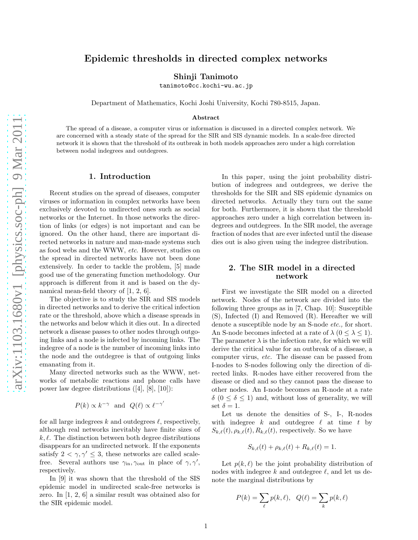# Epidemic thresholds in directed complex networks

Shinji Tanimoto

tanimoto@cc.kochi-wu.ac.jp

Department of Mathematics, Kochi Joshi University, Kochi 780-8515, Japan.

#### Abstract

The spread of a disease, a computer virus or information is discussed in a directed complex network. We are concerned with a steady state of the spread for the SIR and SIS dynamic models. In a scale-free directed network it is shown that the threshold of its outbreak in both models approaches zero under a high correlation between nodal indegrees and outdegrees.

### 1. Introduction

Recent studies on the spread of diseases, computer viruses or information in complex networks have been exclusively devoted to undirected ones such as social networks or the Internet. In those networks the direction of links (or edges) is not important and can be ignored. On the other hand, there are important directed networks in nature and man-made systems such as food webs and the WWW, etc. However, studies on the spread in directed networks have not been done extensively. In order to tackle the problem, [5] made good use of the generating function methodology. Our approach is different from it and is based on the dynamical mean-field theory of [1, 2, 6].

The objective is to study the SIR and SIS models in directed networks and to derive the critical infection rate or the threshold, above which a disease spreads in the networks and below which it dies out. In a directed network a disease passes to other nodes through outgoing links and a node is infected by incoming links. The indegree of a node is the number of incoming links into the node and the outdegree is that of outgoing links emanating from it.

Many directed networks such as the WWW, networks of metabolic reactions and phone calls have power law degree distributions ([4], [8], [10]):

$$
P(k) \propto k^{-\gamma}
$$
 and  $Q(\ell) \propto \ell^{-\gamma'}$ 

for all large indegrees k and outdegrees  $\ell$ , respectively, although real networks inevitably have finite sizes of  $k, \ell$ . The distinction between both degree distributions disappears for an undirected network. If the exponents satisfy  $2 < \gamma, \gamma' \leq 3$ , these networks are called scalefree. Several authors use  $\gamma_{\rm in}, \gamma_{\rm out}$  in place of  $\gamma, \gamma',$ respectively.

In [9] it was shown that the threshold of the SIS epidemic model in undirected scale-free networks is zero. In [1, 2, 6] a similar result was obtained also for the SIR epidemic model.

In this paper, using the joint probability distribution of indegrees and outdegrees, we derive the thresholds for the SIR and SIS epidemic dynamics on directed networks. Actually they turn out the same for both. Furthermore, it is shown that the threshold approaches zero under a high correlation between indegrees and outdegrees. In the SIR model, the average fraction of nodes that are ever infected until the disease dies out is also given using the indegree distribution.

#### 2. The SIR model in a directed network

First we investigate the SIR model on a directed network. Nodes of the network are divided into the following three groups as in [7, Chap. 10]: Susceptible (S), Infected (I) and Removed (R). Hereafter we will denote a susceptible node by an S-node etc., for short. An S-node becomes infected at a rate of  $\lambda$  ( $0 \leq \lambda \leq 1$ ). The parameter  $\lambda$  is the infection rate, for which we will derive the critical value for an outbreak of a disease, a computer virus, etc. The disease can be passed from I-nodes to S-nodes following only the direction of directed links. R-nodes have either recovered from the disease or died and so they cannot pass the disease to other nodes. An I-node becomes an R-node at a rate  $\delta$  ( $0 \leq \delta \leq 1$ ) and, without loss of generality, we will set  $\delta = 1$ .

Let us denote the densities of S-, I-, R-nodes with indegree k and outdegree  $\ell$  at time t by  $S_{k,\ell}(t), \rho_{k,\ell}(t), R_{k,\ell}(t)$ , respectively. So we have

$$
S_{k,\ell}(t) + \rho_{k,\ell}(t) + R_{k,\ell}(t) = 1.
$$

Let  $p(k, \ell)$  be the joint probability distribution of nodes with indegree k and outdegree  $\ell$ , and let us denote the marginal distributions by

$$
P(k) = \sum_{\ell} p(k, \ell), \quad Q(\ell) = \sum_{k} p(k, \ell)
$$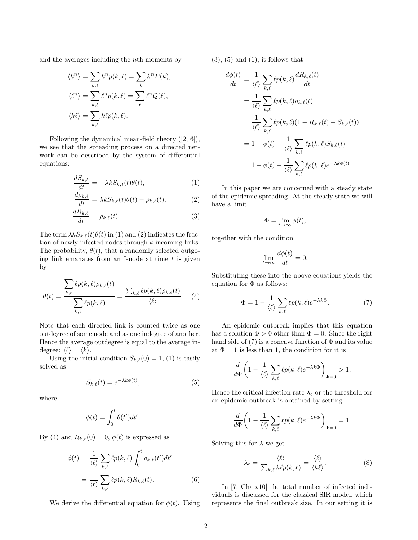and the averages including the nth moments by

$$
\langle k^n \rangle = \sum_{k,\ell} k^n p(k,\ell) = \sum_k k^n P(k),
$$
  

$$
\langle \ell^n \rangle = \sum_{k,\ell} \ell^n p(k,\ell) = \sum_{\ell} \ell^n Q(\ell),
$$
  

$$
\langle k\ell \rangle = \sum_{k,\ell} k\ell p(k,\ell).
$$

Following the dynamical mean-field theory ([2, 6]), we see that the spreading process on a directed network can be described by the system of differential equations:

$$
\frac{dS_{k,\ell}}{dt} = -\lambda k S_{k,\ell}(t)\theta(t),\tag{1}
$$

$$
\frac{d\rho_{k,\ell}}{dt} = \lambda k S_{k,\ell}(t)\theta(t) - \rho_{k,\ell}(t),\tag{2}
$$

$$
\frac{dR_{k,\ell}}{dt} = \rho_{k,\ell}(t). \tag{3}
$$

The term  $\lambda kS_{k,\ell}(t)\theta(t)$  in (1) and (2) indicates the fraction of newly infected nodes through k incoming links. The probability,  $\theta(t)$ , that a randomly selected outgoing link emanates from an I-node at time  $t$  is given by

$$
\theta(t) = \frac{\sum_{k,\ell} \ell p(k,\ell) \rho_{k,\ell}(t)}{\sum_{k,\ell} \ell p(k,\ell)} = \frac{\sum_{k,\ell} \ell p(k,\ell) \rho_{k,\ell}(t)}{\langle \ell \rangle}.
$$
 (4)

Note that each directed link is counted twice as one outdegree of some node and as one indegree of another. Hence the average outdegree is equal to the average indegree:  $\langle \ell \rangle = \langle k \rangle$ .

Using the initial condition  $S_{k,\ell}(0) = 1$ , (1) is easily solved as

$$
S_{k,\ell}(t) = e^{-\lambda k \phi(t)},\tag{5}
$$

where

$$
\phi(t) = \int_0^t \theta(t')dt'.
$$

By (4) and  $R_{k,\ell}(0) = 0$ ,  $\phi(t)$  is expressed as

$$
\phi(t) = \frac{1}{\langle \ell \rangle} \sum_{k,\ell} \ell p(k,\ell) \int_0^t \rho_{k,\ell}(t') dt'
$$

$$
= \frac{1}{\langle \ell \rangle} \sum_{k,\ell} \ell p(k,\ell) R_{k,\ell}(t). \tag{6}
$$

We derive the differential equation for  $\phi(t)$ . Using

 $(3)$ ,  $(5)$  and  $(6)$ , it follows that

$$
\frac{d\phi(t)}{dt} = \frac{1}{\langle \ell \rangle} \sum_{k,\ell} \ell p(k,\ell) \frac{dR_{k,\ell}(t)}{dt}
$$
  
\n
$$
= \frac{1}{\langle \ell \rangle} \sum_{k,\ell} \ell p(k,\ell) \rho_{k,\ell}(t)
$$
  
\n
$$
= \frac{1}{\langle \ell \rangle} \sum_{k,\ell} \ell p(k,\ell) (1 - R_{k,\ell}(t) - S_{k,\ell}(t))
$$
  
\n
$$
= 1 - \phi(t) - \frac{1}{\langle \ell \rangle} \sum_{k,\ell} \ell p(k,\ell) S_{k,\ell}(t)
$$
  
\n
$$
= 1 - \phi(t) - \frac{1}{\langle \ell \rangle} \sum_{k,\ell} \ell p(k,\ell) e^{-\lambda k \phi(t)}.
$$

In this paper we are concerned with a steady state of the epidemic spreading. At the steady state we will have a limit

$$
\Phi = \lim_{t \to \infty} \phi(t),
$$

together with the condition

$$
\lim_{t \to \infty} \frac{d\phi(t)}{dt} = 0.
$$

Substituting these into the above equations yields the equation for  $\Phi$  as follows:

$$
\Phi = 1 - \frac{1}{\langle \ell \rangle} \sum_{k,\ell} \ell p(k,\ell) e^{-\lambda k \Phi}.
$$
 (7)

An epidemic outbreak implies that this equation has a solution  $\Phi > 0$  other than  $\Phi = 0$ . Since the right hand side of (7) is a concave function of  $\Phi$  and its value at  $\Phi = 1$  is less than 1, the condition for it is

$$
\frac{d}{d\Phi}\left(1-\frac{1}{\langle\ell\rangle}\sum_{k,\ell}\ell p(k,\ell)e^{-\lambda k\Phi}\right)_{\Phi=0}>1.
$$

Hence the critical infection rate  $\lambda_\mathrm{c}$  or the threshold for an epidemic outbreak is obtained by setting

$$
\frac{d}{d\Phi} \left( 1 - \frac{1}{\langle \ell \rangle} \sum_{k,\ell} \ell p(k,\ell) e^{-\lambda k \Phi} \right)_{\Phi = 0} = 1.
$$

Solving this for  $\lambda$  we get

$$
\lambda_{\rm c} = \frac{\langle \ell \rangle}{\sum_{k,\ell} k\ell p(k,\ell)} = \frac{\langle \ell \rangle}{\langle k\ell \rangle}.
$$
 (8)

In [7, Chap.10] the total number of infected individuals is discussed for the classical SIR model, which represents the final outbreak size. In our setting it is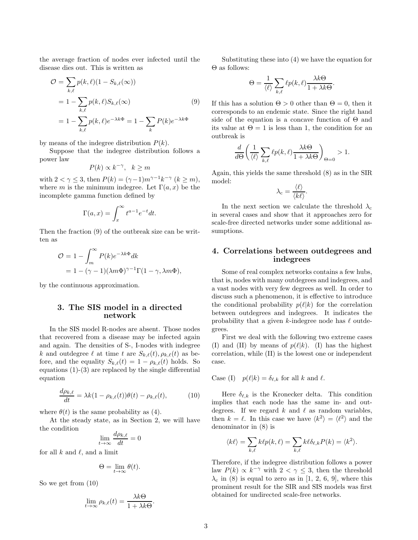the average fraction of nodes ever infected until the disease dies out. This is written as

$$
\mathcal{O} = \sum_{k,\ell} p(k,\ell)(1 - S_{k,\ell}(\infty))
$$
  
=  $1 - \sum_{k,\ell} p(k,\ell)S_{k,\ell}(\infty)$  (9)  
=  $1 - \sum_{k,\ell} p(k,\ell)e^{-\lambda k\Phi} = 1 - \sum_{k} P(k)e^{-\lambda k\Phi}$ 

by means of the indegree distribution  $P(k)$ .

Suppose that the indegree distribution follows a power law

$$
P(k) \propto k^{-\gamma}, \quad k \ge m
$$

with  $2 < \gamma \leq 3$ , then  $P(k) = (\gamma - 1)m^{\gamma - 1}k^{-\gamma}$   $(k \geq m)$ , where m is the minimum indegree. Let  $\Gamma(a, x)$  be the incomplete gamma function defined by

$$
\Gamma(a,x) = \int_x^{\infty} t^{a-1} e^{-t} dt.
$$

Then the fraction (9) of the outbreak size can be written as

$$
\mathcal{O} = 1 - \int_{m}^{\infty} P(k)e^{-\lambda k \Phi} dk
$$
  
= 1 - (\gamma - 1)(\lambda m \Phi)^{\gamma - 1} \Gamma(1 - \gamma, \lambda m \Phi),

by the continuous approximation.

## 3. The SIS model in a directed network

In the SIS model R-nodes are absent. Those nodes that recovered from a disease may be infected again and again. The densities of S-, I-nodes with indegree k and outdegree  $\ell$  at time t are  $S_{k,\ell}(t), \rho_{k,\ell}(t)$  as before, and the equality  $S_{k,\ell}(t) = 1 - \rho_{k,\ell}(t)$  holds. So equations (1)-(3) are replaced by the single differential equation

$$
\frac{d\rho_{k,\ell}}{dt} = \lambda k (1 - \rho_{k,\ell}(t)) \theta(t) - \rho_{k,\ell}(t),\tag{10}
$$

where  $\theta(t)$  is the same probability as (4).

At the steady state, as in Section 2, we will have the condition

$$
\lim_{t \to \infty} \frac{d\rho_{k,\ell}}{dt} = 0
$$

for all  $k$  and  $\ell$ , and a limit

$$
\Theta = \lim_{t \to \infty} \theta(t).
$$

So we get from (10)

$$
\lim_{t \to \infty} \rho_{k,\ell}(t) = \frac{\lambda k \Theta}{1 + \lambda k \Theta}
$$

.

Substituting these into (4) we have the equation for Θ as follows:

$$
\Theta = \frac{1}{\langle \ell \rangle} \sum_{k,\ell} \ell p(k,\ell) \frac{\lambda k \Theta}{1 + \lambda k \Theta}.
$$

If this has a solution  $\Theta > 0$  other than  $\Theta = 0$ , then it corresponds to an endemic state. Since the right hand side of the equation is a concave function of  $\Theta$  and its value at  $\Theta = 1$  is less than 1, the condition for an outbreak is

$$
\frac{d}{d\Theta}\left(\frac{1}{\langle \ell \rangle} \sum_{k,\ell} \ell p(k,\ell) \frac{\lambda k \Theta}{1 + \lambda k \Theta} \right)_{\Theta = 0} > 1.
$$

Again, this yields the same threshold (8) as in the SIR model:  $\sqrt{ }$ 

$$
\lambda_{\rm c} = \frac{\langle \ell \rangle}{\langle k \ell \rangle}.
$$

In the next section we calculate the threshold  $\lambda_c$ in several cases and show that it approaches zero for scale-free directed networks under some additional assumptions.

## 4. Correlations between outdegrees and indegrees

Some of real complex networks contains a few hubs, that is, nodes with many outdegrees and indegrees, and a vast nodes with very few degrees as well. In order to discuss such a phenomenon, it is effective to introduce the conditional probability  $p(\ell|k)$  for the correlation between outdegrees and indegrees. It indicates the probability that a given k-indegree node has  $\ell$  outdegrees.

First we deal with the following two extreme cases (I) and (II) by means of  $p(\ell|k)$ . (I) has the highest correlation, while (II) is the lowest one or independent case.

Case (I)  $p(\ell|k) = \delta_{\ell,k}$  for all k and  $\ell$ .

Here  $\delta_{\ell,k}$  is the Kronecker delta. This condition implies that each node has the same in- and outdegrees. If we regard k and  $\ell$  as random variables, then  $k = \ell$ . In this case we have  $\langle k^2 \rangle = \langle \ell^2 \rangle$  and the denominator in (8) is

$$
\langle k\ell \rangle = \sum_{k,\ell} k\ell p(k,\ell) = \sum_{k,\ell} k\ell \delta_{\ell,k} P(k) = \langle k^2 \rangle.
$$

Therefore, if the indegree distribution follows a power law  $P(k) \propto k^{-\gamma}$  with  $2 < \gamma \leq 3$ , then the threshold  $\lambda_c$  in (8) is equal to zero as in [1, 2, 6, 9], where this prominent result for the SIR and SIS models was first obtained for undirected scale-free networks.